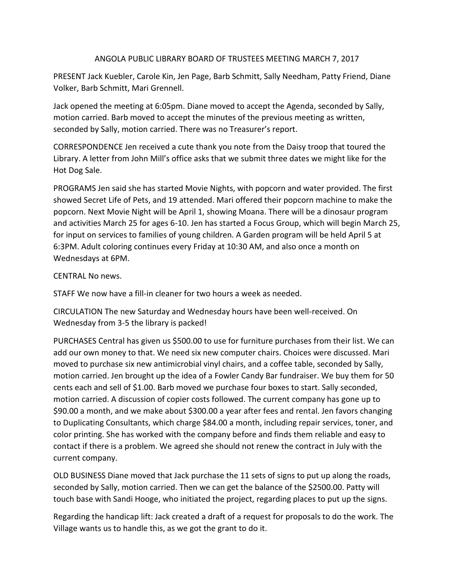## ANGOLA PUBLIC LIBRARY BOARD OF TRUSTEES MEETING MARCH 7, 2017

PRESENT Jack Kuebler, Carole Kin, Jen Page, Barb Schmitt, Sally Needham, Patty Friend, Diane Volker, Barb Schmitt, Mari Grennell.

Jack opened the meeting at 6:05pm. Diane moved to accept the Agenda, seconded by Sally, motion carried. Barb moved to accept the minutes of the previous meeting as written, seconded by Sally, motion carried. There was no Treasurer's report.

CORRESPONDENCE Jen received a cute thank you note from the Daisy troop that toured the Library. A letter from John Mill's office asks that we submit three dates we might like for the Hot Dog Sale.

PROGRAMS Jen said she has started Movie Nights, with popcorn and water provided. The first showed Secret Life of Pets, and 19 attended. Mari offered their popcorn machine to make the popcorn. Next Movie Night will be April 1, showing Moana. There will be a dinosaur program and activities March 25 for ages 6-10. Jen has started a Focus Group, which will begin March 25, for input on services to families of young children. A Garden program will be held April 5 at 6:3PM. Adult coloring continues every Friday at 10:30 AM, and also once a month on Wednesdays at 6PM.

## CENTRAL No news.

STAFF We now have a fill-in cleaner for two hours a week as needed.

CIRCULATION The new Saturday and Wednesday hours have been well-received. On Wednesday from 3-5 the library is packed!

PURCHASES Central has given us \$500.00 to use for furniture purchases from their list. We can add our own money to that. We need six new computer chairs. Choices were discussed. Mari moved to purchase six new antimicrobial vinyl chairs, and a coffee table, seconded by Sally, motion carried. Jen brought up the idea of a Fowler Candy Bar fundraiser. We buy them for 50 cents each and sell of \$1.00. Barb moved we purchase four boxes to start. Sally seconded, motion carried. A discussion of copier costs followed. The current company has gone up to \$90.00 a month, and we make about \$300.00 a year after fees and rental. Jen favors changing to Duplicating Consultants, which charge \$84.00 a month, including repair services, toner, and color printing. She has worked with the company before and finds them reliable and easy to contact if there is a problem. We agreed she should not renew the contract in July with the current company.

OLD BUSINESS Diane moved that Jack purchase the 11 sets of signs to put up along the roads, seconded by Sally, motion carried. Then we can get the balance of the \$2500.00. Patty will touch base with Sandi Hooge, who initiated the project, regarding places to put up the signs.

Regarding the handicap lift: Jack created a draft of a request for proposals to do the work. The Village wants us to handle this, as we got the grant to do it.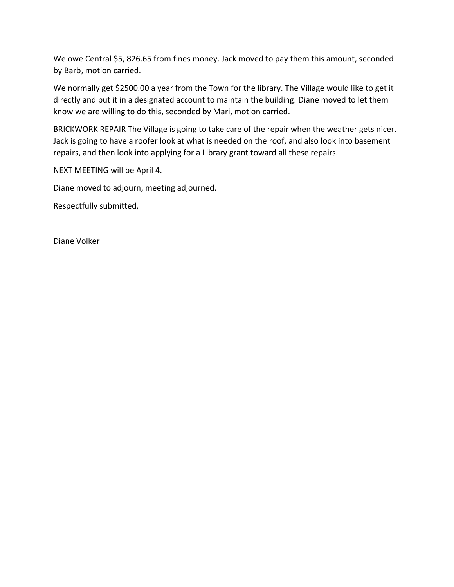We owe Central \$5, 826.65 from fines money. Jack moved to pay them this amount, seconded by Barb, motion carried.

We normally get \$2500.00 a year from the Town for the library. The Village would like to get it directly and put it in a designated account to maintain the building. Diane moved to let them know we are willing to do this, seconded by Mari, motion carried.

BRICKWORK REPAIR The Village is going to take care of the repair when the weather gets nicer. Jack is going to have a roofer look at what is needed on the roof, and also look into basement repairs, and then look into applying for a Library grant toward all these repairs.

NEXT MEETING will be April 4.

Diane moved to adjourn, meeting adjourned.

Respectfully submitted,

Diane Volker